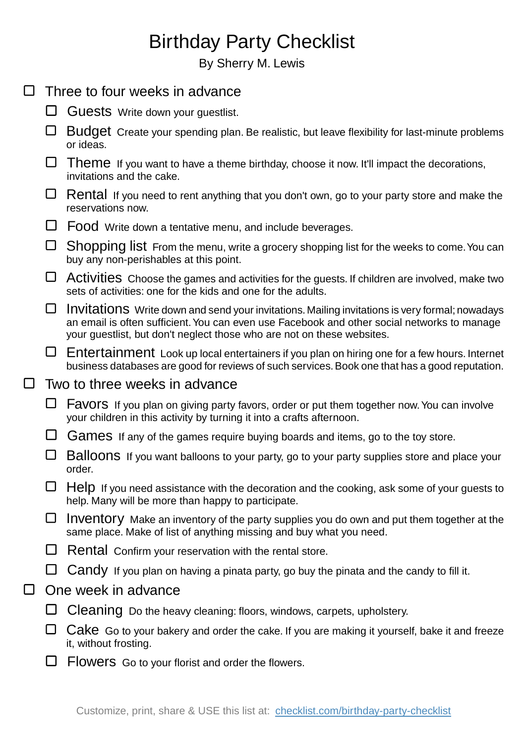## Birthday Party Checklist

By Sherry M. Lewis

|        |                               | Three to four weeks in advance                                                                                                                                                                                                                                          |
|--------|-------------------------------|-------------------------------------------------------------------------------------------------------------------------------------------------------------------------------------------------------------------------------------------------------------------------|
|        | ப                             | Guests Write down your guestlist.                                                                                                                                                                                                                                       |
|        | ப                             | Budget Create your spending plan. Be realistic, but leave flexibility for last-minute problems<br>or ideas.                                                                                                                                                             |
|        | ப                             | Theme If you want to have a theme birthday, choose it now. It'll impact the decorations,<br>invitations and the cake.                                                                                                                                                   |
|        | ⊔                             | Rental If you need to rent anything that you don't own, go to your party store and make the<br>reservations now.                                                                                                                                                        |
|        |                               | Food Write down a tentative menu, and include beverages.                                                                                                                                                                                                                |
|        | ⊔                             | Shopping list From the menu, write a grocery shopping list for the weeks to come. You can<br>buy any non-perishables at this point.                                                                                                                                     |
|        | ⊔                             | Activities Choose the games and activities for the guests. If children are involved, make two<br>sets of activities: one for the kids and one for the adults.                                                                                                           |
|        | ⊔                             | Invitations Write down and send your invitations. Mailing invitations is very formal; nowadays<br>an email is often sufficient. You can even use Facebook and other social networks to manage<br>your guestlist, but don't neglect those who are not on these websites. |
|        |                               | $\Box$ Entertainment Look up local entertainers if you plan on hiring one for a few hours. Internet<br>business databases are good for reviews of such services. Book one that has a good reputation.                                                                   |
| $\Box$ | Two to three weeks in advance |                                                                                                                                                                                                                                                                         |
|        | ⊔                             | <b>Favors</b> If you plan on giving party favors, order or put them together now. You can involve<br>your children in this activity by turning it into a crafts afternoon.                                                                                              |
|        |                               | Games If any of the games require buying boards and items, go to the toy store.                                                                                                                                                                                         |
|        |                               | Balloons If you want balloons to your party, go to your party supplies store and place your<br>order.                                                                                                                                                                   |
|        |                               | Help If you need assistance with the decoration and the cooking, ask some of your guests to<br>help. Many will be more than happy to participate.                                                                                                                       |
|        | ⊔                             | Inventory Make an inventory of the party supplies you do own and put them together at the<br>same place. Make of list of anything missing and buy what you need.                                                                                                        |
|        |                               | Rental Confirm your reservation with the rental store.                                                                                                                                                                                                                  |
|        |                               | Candy If you plan on having a pinata party, go buy the pinata and the candy to fill it.                                                                                                                                                                                 |
| $\Box$ | One week in advance           |                                                                                                                                                                                                                                                                         |
|        |                               | Cleaning Do the heavy cleaning: floors, windows, carpets, upholstery.                                                                                                                                                                                                   |
|        |                               | Cake Go to your bakery and order the cake. If you are making it yourself, bake it and freeze<br>it, without frosting.                                                                                                                                                   |
|        |                               | Flowers Go to your florist and order the flowers.                                                                                                                                                                                                                       |